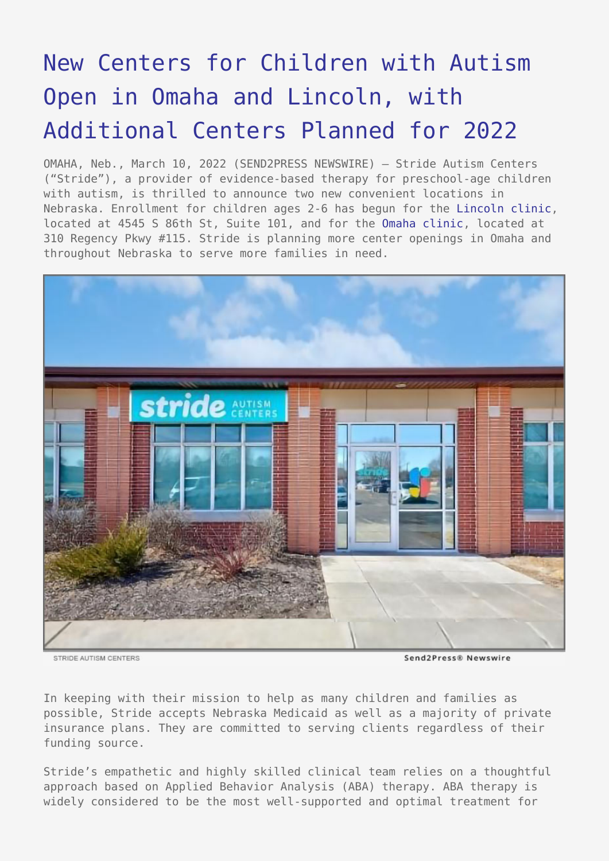## [New Centers for Children with Autism](https://www.send2press.com/wire/new-centers-for-children-with-autism-open-in-omaha-and-lincoln-with-additional-centers-planned-for-2022/) [Open in Omaha and Lincoln, with](https://www.send2press.com/wire/new-centers-for-children-with-autism-open-in-omaha-and-lincoln-with-additional-centers-planned-for-2022/) [Additional Centers Planned for 2022](https://www.send2press.com/wire/new-centers-for-children-with-autism-open-in-omaha-and-lincoln-with-additional-centers-planned-for-2022/)

OMAHA, Neb., March 10, 2022 (SEND2PRESS NEWSWIRE) — Stride Autism Centers ("Stride"), a provider of evidence-based therapy for preschool-age children with autism, is thrilled to announce two new convenient locations in Nebraska. Enrollment for children ages 2-6 has begun for the [Lincoln clinic](https://stridecenters.com/locations/lincoln-ne/), located at 4545 S 86th St, Suite 101, and for the [Omaha clinic](https://stridecenters.com/locations/omaha-ne/), located at 310 Regency Pkwy #115. Stride is planning more center openings in Omaha and throughout Nebraska to serve more families in need.



STRIDE AUTISM CENTERS

Send2Press® Newswire

In keeping with their mission to help as many children and families as possible, Stride accepts Nebraska Medicaid as well as a majority of private insurance plans. They are committed to serving clients regardless of their funding source.

Stride's empathetic and highly skilled clinical team relies on a thoughtful approach based on Applied Behavior Analysis (ABA) therapy. ABA therapy is widely considered to be the most well-supported and optimal treatment for